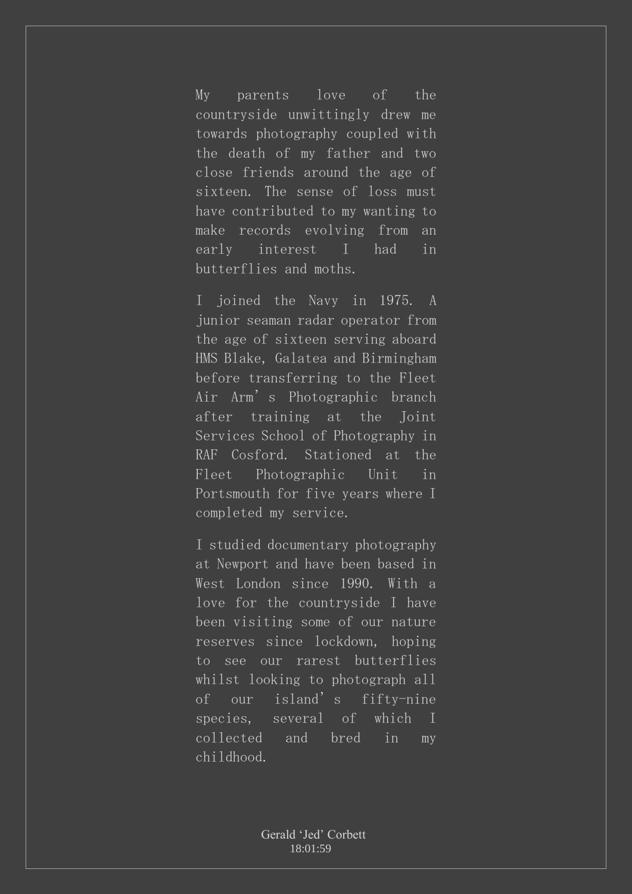My parents love of the countryside unwittingly drew me towards photography coupled with the death of my father and two close friends around the age of sixteen. The sense of loss must have contributed to my wanting to make records evolving from an early interest I had in butterflies and moths.

I joined the Navy in 1975. A junior seaman radar operator from the age of sixteen serving aboard HMS Blake, Galatea and Birmingham before transferring to the Fleet Air Arm's Photographic branch after training at the Joint Services School of Photography in RAF Cosford. Stationed at the Fleet Photographic Unit in Portsmouth for five years where I completed my service.

I studied documentary photography at Newport and have been based in West London since 1990. With a love for the countryside I have been visiting some of our nature reserves since lockdown, hoping to see our rarest butterflies whilst looking to photograph all of our island's fifty-nine species, several of which I collected and bred in my childhood.